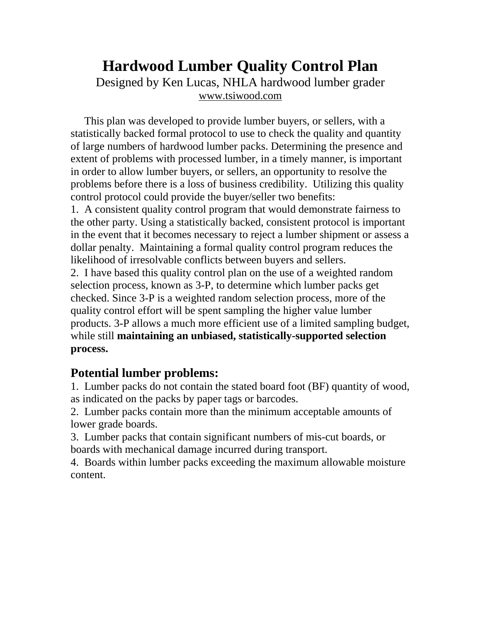## **Hardwood Lumber Quality Control Plan**  Designed by Ken Lucas, NHLA hardwood lumber grader [www.tsiwood.com](http://www.tsiwood.com/)

 This plan was developed to provide lumber buyers, or sellers, with a statistically backed formal protocol to use to check the quality and quantity of large numbers of hardwood lumber packs. Determining the presence and extent of problems with processed lumber, in a timely manner, is important in order to allow lumber buyers, or sellers, an opportunity to resolve the problems before there is a loss of business credibility. Utilizing this quality control protocol could provide the buyer/seller two benefits:

1. A consistent quality control program that would demonstrate fairness to the other party. Using a statistically backed, consistent protocol is important in the event that it becomes necessary to reject a lumber shipment or assess a dollar penalty. Maintaining a formal quality control program reduces the likelihood of irresolvable conflicts between buyers and sellers.

2. I have based this quality control plan on the use of a weighted random selection process, known as 3-P, to determine which lumber packs get checked. Since 3-P is a weighted random selection process, more of the quality control effort will be spent sampling the higher value lumber products. 3-P allows a much more efficient use of a limited sampling budget, while still **maintaining an unbiased, statistically-supported selection process.** 

## **Potential lumber problems:**

1. Lumber packs do not contain the stated board foot (BF) quantity of wood, as indicated on the packs by paper tags or barcodes.

2. Lumber packs contain more than the minimum acceptable amounts of lower grade boards.

3. Lumber packs that contain significant numbers of mis-cut boards, or boards with mechanical damage incurred during transport.

4. Boards within lumber packs exceeding the maximum allowable moisture content.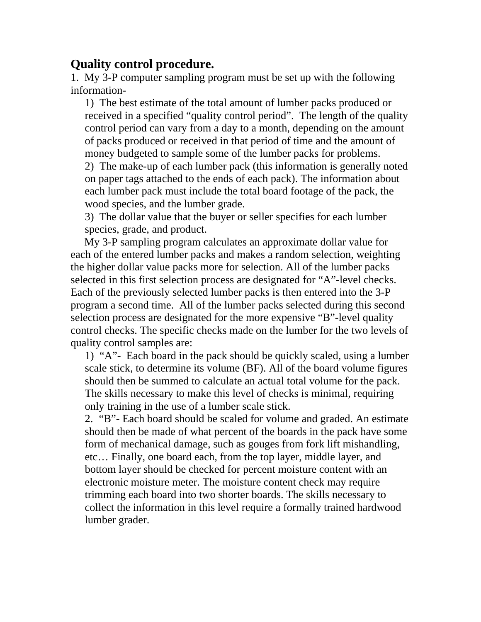## **Quality control procedure.**

1. My 3-P computer sampling program must be set up with the following information-

1) The best estimate of the total amount of lumber packs produced or received in a specified "quality control period". The length of the quality control period can vary from a day to a month, depending on the amount of packs produced or received in that period of time and the amount of money budgeted to sample some of the lumber packs for problems.

2) The make-up of each lumber pack (this information is generally noted on paper tags attached to the ends of each pack). The information about each lumber pack must include the total board footage of the pack, the wood species, and the lumber grade.

3) The dollar value that the buyer or seller specifies for each lumber species, grade, and product.

 My 3-P sampling program calculates an approximate dollar value for each of the entered lumber packs and makes a random selection, weighting the higher dollar value packs more for selection. All of the lumber packs selected in this first selection process are designated for "A"-level checks. Each of the previously selected lumber packs is then entered into the 3-P program a second time. All of the lumber packs selected during this second selection process are designated for the more expensive "B"-level quality control checks. The specific checks made on the lumber for the two levels of quality control samples are:

1) "A"- Each board in the pack should be quickly scaled, using a lumber scale stick, to determine its volume (BF). All of the board volume figures should then be summed to calculate an actual total volume for the pack. The skills necessary to make this level of checks is minimal, requiring only training in the use of a lumber scale stick.

2. "B"- Each board should be scaled for volume and graded. An estimate should then be made of what percent of the boards in the pack have some form of mechanical damage, such as gouges from fork lift mishandling, etc… Finally, one board each, from the top layer, middle layer, and bottom layer should be checked for percent moisture content with an electronic moisture meter. The moisture content check may require trimming each board into two shorter boards. The skills necessary to collect the information in this level require a formally trained hardwood lumber grader.